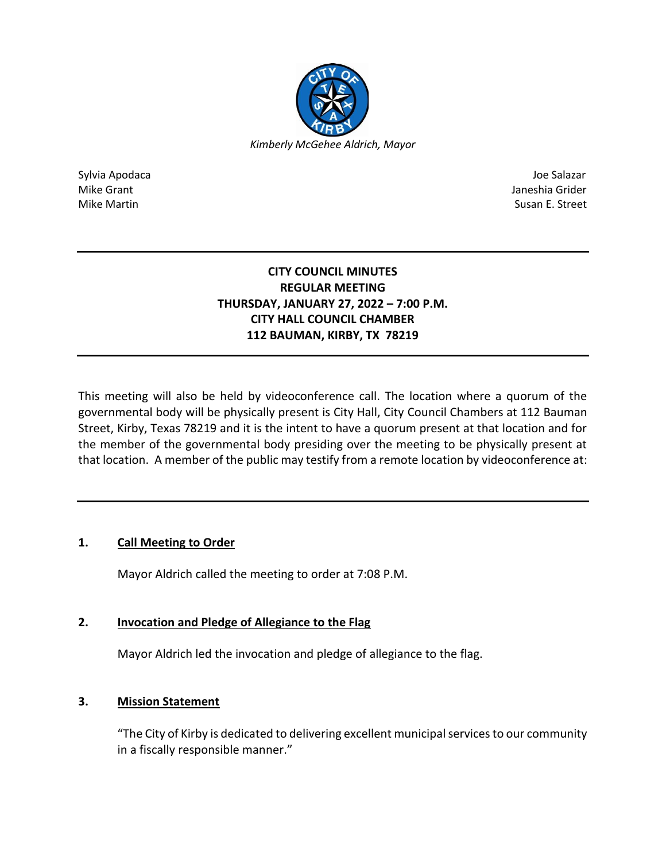

Sylvia Apodaca Joe Salazar Joe Salazar Joe Salazar Joe Salazar Joe Salazar Joe Salazar Joe Salazar Joe Salazar Mike Grant **Janeshia Grider** Mike Grant Janeshia Grider **Janeshia Grider** Mike Grant Janeshia Grider Mike Martin Susan E. Street

# **CITY COUNCIL MINUTES REGULAR MEETING THURSDAY, JANUARY 27, 2022 – 7:00 P.M. CITY HALL COUNCIL CHAMBER 112 BAUMAN, KIRBY, TX 78219**

This meeting will also be held by videoconference call. The location where a quorum of the governmental body will be physically present is City Hall, City Council Chambers at 112 Bauman Street, Kirby, Texas 78219 and it is the intent to have a quorum present at that location and for the member of the governmental body presiding over the meeting to be physically present at that location. A member of the public may testify from a remote location by videoconference at:

# **1. Call Meeting to Order**

Mayor Aldrich called the meeting to order at 7:08 P.M.

# **2. Invocation and Pledge of Allegiance to the Flag**

Mayor Aldrich led the invocation and pledge of allegiance to the flag.

# **3. Mission Statement**

"The City of Kirby is dedicated to delivering excellent municipal services to our community in a fiscally responsible manner."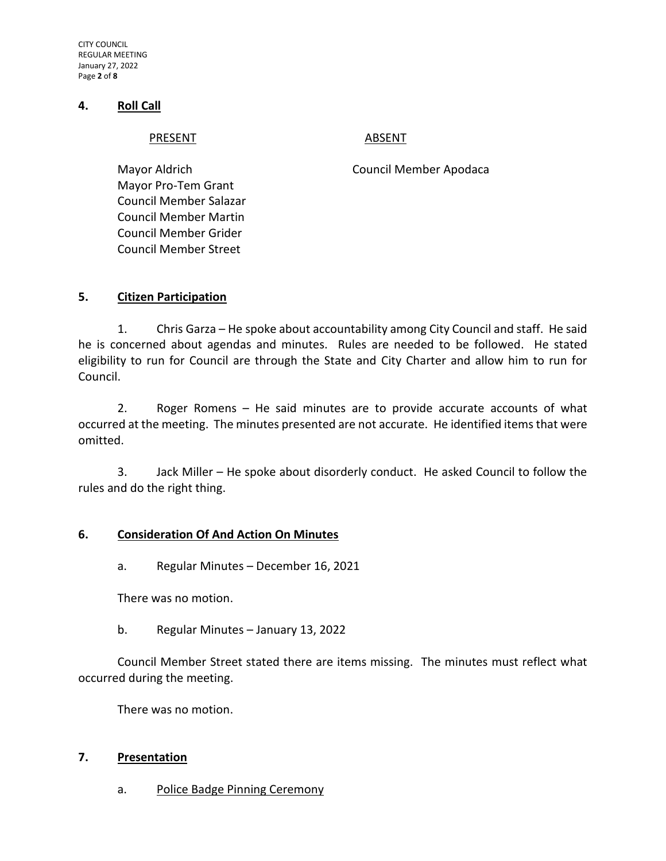CITY COUNCIL REGULAR MEETING January 27, 2022 Page **2** of **8**

#### **4. Roll Call**

#### PRESENT ABSENT

Mayor Pro-Tem Grant Council Member Salazar Council Member Martin Council Member Grider Council Member Street

Mayor Aldrich Council Member Apodaca

#### **5. Citizen Participation**

1. Chris Garza – He spoke about accountability among City Council and staff. He said he is concerned about agendas and minutes. Rules are needed to be followed. He stated eligibility to run for Council are through the State and City Charter and allow him to run for Council.

2. Roger Romens – He said minutes are to provide accurate accounts of what occurred at the meeting. The minutes presented are not accurate. He identified items that were omitted.

3. Jack Miller – He spoke about disorderly conduct. He asked Council to follow the rules and do the right thing.

#### **6. Consideration Of And Action On Minutes**

a. Regular Minutes – December 16, 2021

There was no motion.

b. Regular Minutes – January 13, 2022

Council Member Street stated there are items missing. The minutes must reflect what occurred during the meeting.

There was no motion.

#### **7. Presentation**

a. Police Badge Pinning Ceremony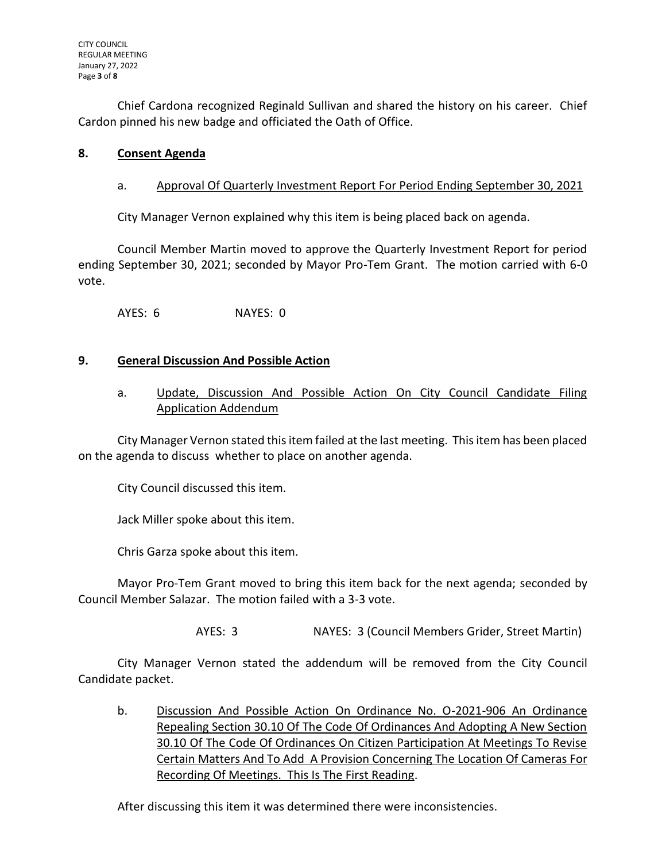Chief Cardona recognized Reginald Sullivan and shared the history on his career. Chief Cardon pinned his new badge and officiated the Oath of Office.

# **8. Consent Agenda**

## a. Approval Of Quarterly Investment Report For Period Ending September 30, 2021

City Manager Vernon explained why this item is being placed back on agenda.

Council Member Martin moved to approve the Quarterly Investment Report for period ending September 30, 2021; seconded by Mayor Pro-Tem Grant. The motion carried with 6-0 vote.

AYES: 6 NAYES: 0

#### **9. General Discussion And Possible Action**

a. Update, Discussion And Possible Action On City Council Candidate Filing Application Addendum

City Manager Vernon stated this item failed at the last meeting. This item has been placed on the agenda to discuss whether to place on another agenda.

City Council discussed this item.

Jack Miller spoke about this item.

Chris Garza spoke about this item.

Mayor Pro-Tem Grant moved to bring this item back for the next agenda; seconded by Council Member Salazar. The motion failed with a 3-3 vote.

AYES: 3 NAYES: 3 (Council Members Grider, Street Martin)

City Manager Vernon stated the addendum will be removed from the City Council Candidate packet.

b. Discussion And Possible Action On Ordinance No. O-2021-906 An Ordinance Repealing Section 30.10 Of The Code Of Ordinances And Adopting A New Section 30.10 Of The Code Of Ordinances On Citizen Participation At Meetings To Revise Certain Matters And To Add A Provision Concerning The Location Of Cameras For Recording Of Meetings. This Is The First Reading.

After discussing this item it was determined there were inconsistencies.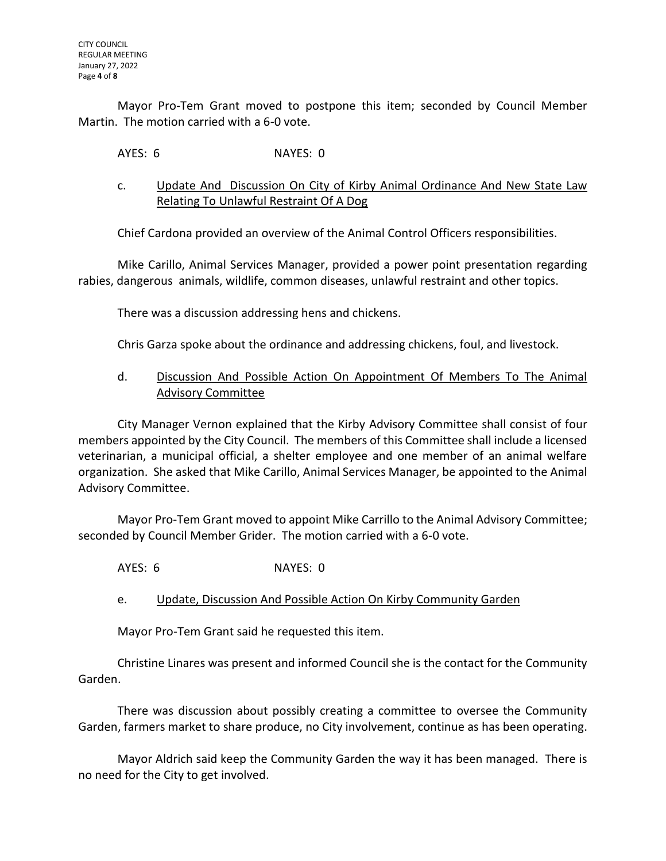Mayor Pro-Tem Grant moved to postpone this item; seconded by Council Member Martin. The motion carried with a 6-0 vote.

AYES: 6 NAYES: 0

c. Update And Discussion On City of Kirby Animal Ordinance And New State Law Relating To Unlawful Restraint Of A Dog

Chief Cardona provided an overview of the Animal Control Officers responsibilities.

Mike Carillo, Animal Services Manager, provided a power point presentation regarding rabies, dangerous animals, wildlife, common diseases, unlawful restraint and other topics.

There was a discussion addressing hens and chickens.

Chris Garza spoke about the ordinance and addressing chickens, foul, and livestock.

# d. Discussion And Possible Action On Appointment Of Members To The Animal Advisory Committee

City Manager Vernon explained that the Kirby Advisory Committee shall consist of four members appointed by the City Council. The members of this Committee shall include a licensed veterinarian, a municipal official, a shelter employee and one member of an animal welfare organization. She asked that Mike Carillo, Animal Services Manager, be appointed to the Animal Advisory Committee.

Mayor Pro-Tem Grant moved to appoint Mike Carrillo to the Animal Advisory Committee; seconded by Council Member Grider. The motion carried with a 6-0 vote.

AYES: 6 NAYES: 0

e. Update, Discussion And Possible Action On Kirby Community Garden

Mayor Pro-Tem Grant said he requested this item.

Christine Linares was present and informed Council she is the contact for the Community Garden.

There was discussion about possibly creating a committee to oversee the Community Garden, farmers market to share produce, no City involvement, continue as has been operating.

Mayor Aldrich said keep the Community Garden the way it has been managed. There is no need for the City to get involved.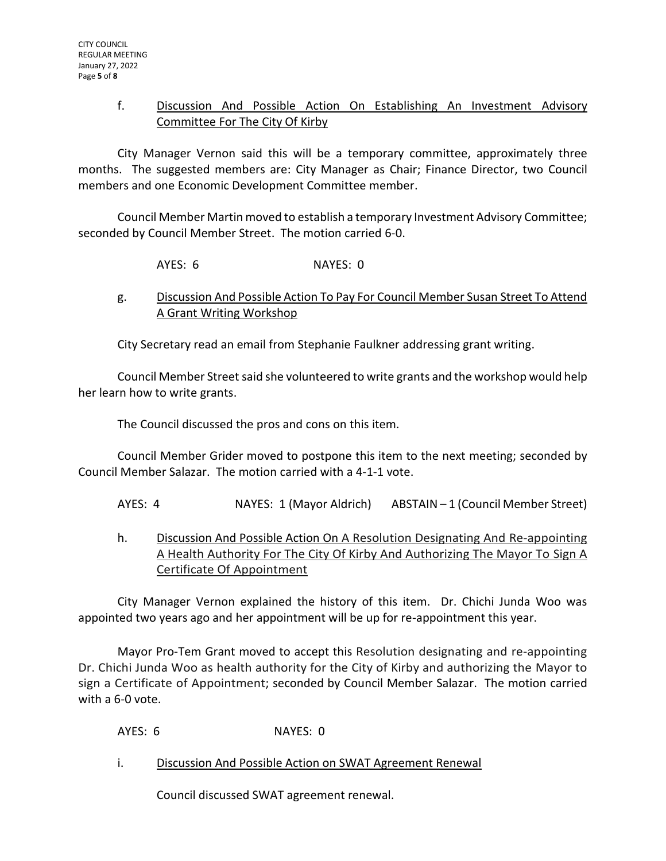# f. Discussion And Possible Action On Establishing An Investment Advisory Committee For The City Of Kirby

City Manager Vernon said this will be a temporary committee, approximately three months. The suggested members are: City Manager as Chair; Finance Director, two Council members and one Economic Development Committee member.

Council Member Martin moved to establish a temporary Investment Advisory Committee; seconded by Council Member Street. The motion carried 6-0.

AYES: 6 NAYES: 0

g. Discussion And Possible Action To Pay For Council Member Susan Street To Attend A Grant Writing Workshop

City Secretary read an email from Stephanie Faulkner addressing grant writing.

Council Member Street said she volunteered to write grants and the workshop would help her learn how to write grants.

The Council discussed the pros and cons on this item.

Council Member Grider moved to postpone this item to the next meeting; seconded by Council Member Salazar. The motion carried with a 4-1-1 vote.

AYES: 4 NAYES: 1 (Mayor Aldrich) ABSTAIN – 1 (Council Member Street)

h. Discussion And Possible Action On A Resolution Designating And Re-appointing A Health Authority For The City Of Kirby And Authorizing The Mayor To Sign A Certificate Of Appointment

City Manager Vernon explained the history of this item. Dr. Chichi Junda Woo was appointed two years ago and her appointment will be up for re-appointment this year.

Mayor Pro-Tem Grant moved to accept this Resolution designating and re-appointing Dr. Chichi Junda Woo as health authority for the City of Kirby and authorizing the Mayor to sign a Certificate of Appointment; seconded by Council Member Salazar. The motion carried with a 6-0 vote.

AYES: 6 NAYES: 0

i. Discussion And Possible Action on SWAT Agreement Renewal

Council discussed SWAT agreement renewal.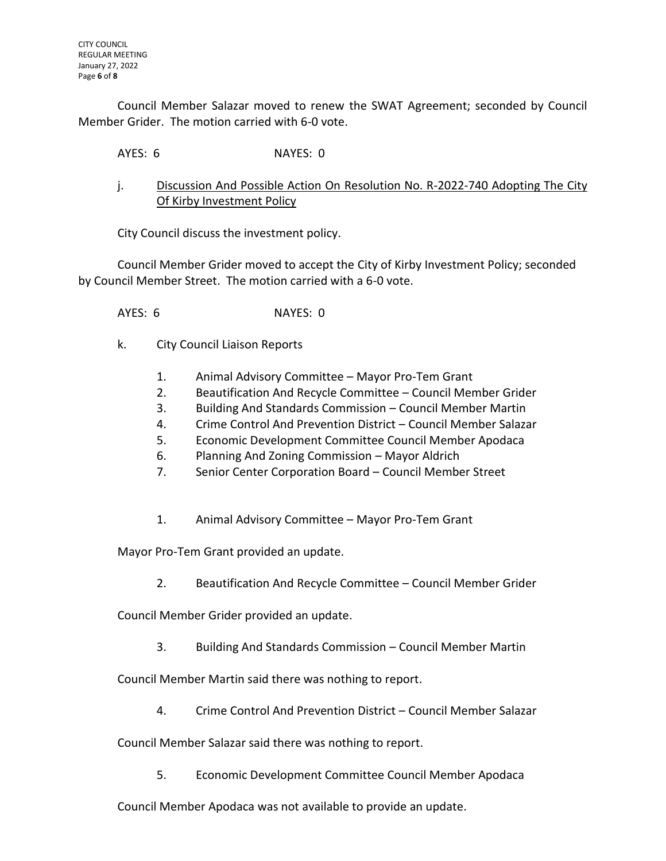Council Member Salazar moved to renew the SWAT Agreement; seconded by Council Member Grider. The motion carried with 6-0 vote.

AYES: 6 NAYES: 0

j. Discussion And Possible Action On Resolution No. R-2022-740 Adopting The City Of Kirby Investment Policy

City Council discuss the investment policy.

Council Member Grider moved to accept the City of Kirby Investment Policy; seconded by Council Member Street. The motion carried with a 6-0 vote.

AYES: 6 NAYES: 0

- k. City Council Liaison Reports
	- 1. Animal Advisory Committee Mayor Pro-Tem Grant
	- 2. Beautification And Recycle Committee Council Member Grider
	- 3. Building And Standards Commission Council Member Martin
	- 4. Crime Control And Prevention District Council Member Salazar
	- 5. Economic Development Committee Council Member Apodaca
	- 6. Planning And Zoning Commission Mayor Aldrich
	- 7. Senior Center Corporation Board Council Member Street
	- 1. Animal Advisory Committee Mayor Pro-Tem Grant

Mayor Pro-Tem Grant provided an update.

2. Beautification And Recycle Committee – Council Member Grider

Council Member Grider provided an update.

3. Building And Standards Commission – Council Member Martin

Council Member Martin said there was nothing to report.

4. Crime Control And Prevention District – Council Member Salazar

Council Member Salazar said there was nothing to report.

5. Economic Development Committee Council Member Apodaca

Council Member Apodaca was not available to provide an update.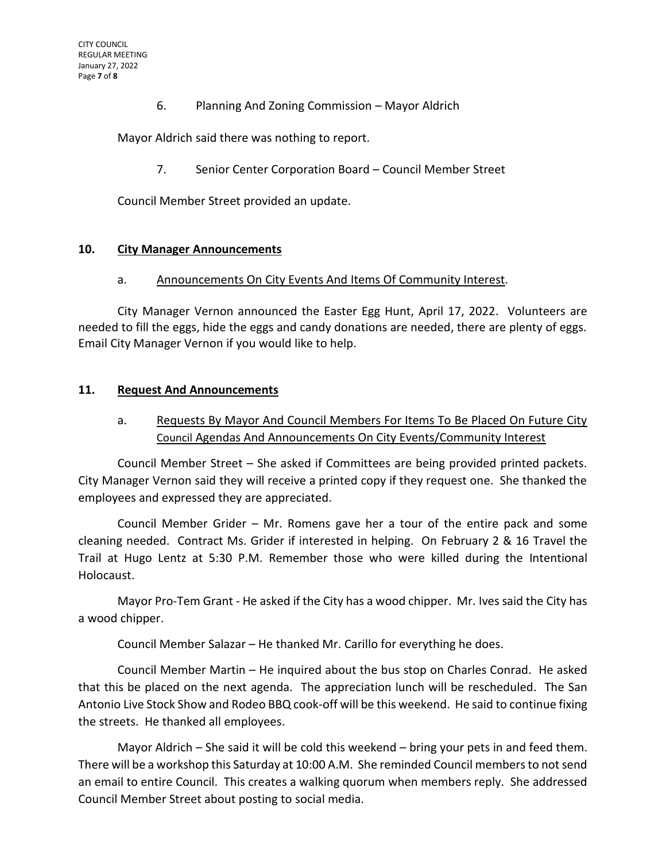6. Planning And Zoning Commission – Mayor Aldrich

Mayor Aldrich said there was nothing to report.

7. Senior Center Corporation Board – Council Member Street

Council Member Street provided an update.

#### **10. City Manager Announcements**

a. Announcements On City Events And Items Of Community Interest.

City Manager Vernon announced the Easter Egg Hunt, April 17, 2022. Volunteers are needed to fill the eggs, hide the eggs and candy donations are needed, there are plenty of eggs. Email City Manager Vernon if you would like to help.

#### **11. Request And Announcements**

# a. Requests By Mayor And Council Members For Items To Be Placed On Future City Council Agendas And Announcements On City Events/Community Interest

Council Member Street – She asked if Committees are being provided printed packets. City Manager Vernon said they will receive a printed copy if they request one. She thanked the employees and expressed they are appreciated.

Council Member Grider – Mr. Romens gave her a tour of the entire pack and some cleaning needed. Contract Ms. Grider if interested in helping. On February 2 & 16 Travel the Trail at Hugo Lentz at 5:30 P.M. Remember those who were killed during the Intentional Holocaust.

Mayor Pro-Tem Grant - He asked if the City has a wood chipper. Mr. Ives said the City has a wood chipper.

Council Member Salazar – He thanked Mr. Carillo for everything he does.

Council Member Martin – He inquired about the bus stop on Charles Conrad. He asked that this be placed on the next agenda. The appreciation lunch will be rescheduled. The San Antonio Live Stock Show and Rodeo BBQ cook-off will be this weekend. He said to continue fixing the streets. He thanked all employees.

Mayor Aldrich – She said it will be cold this weekend – bring your pets in and feed them. There will be a workshop this Saturday at 10:00 A.M. She reminded Council members to not send an email to entire Council. This creates a walking quorum when members reply. She addressed Council Member Street about posting to social media.